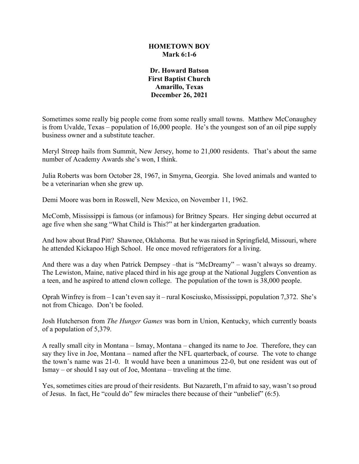## **HOMETOWN BOY Mark 6:1-6**

## **Dr. Howard Batson First Baptist Church Amarillo, Texas December 26, 2021**

Sometimes some really big people come from some really small towns. Matthew McConaughey is from Uvalde, Texas – population of 16,000 people. He's the youngest son of an oil pipe supply business owner and a substitute teacher.

Meryl Streep hails from Summit, New Jersey, home to 21,000 residents. That's about the same number of Academy Awards she's won, I think.

Julia Roberts was born October 28, 1967, in Smyrna, Georgia. She loved animals and wanted to be a veterinarian when she grew up.

Demi Moore was born in Roswell, New Mexico, on November 11, 1962.

McComb, Mississippi is famous (or infamous) for Britney Spears. Her singing debut occurred at age five when she sang "What Child is This?" at her kindergarten graduation.

And how about Brad Pitt? Shawnee, Oklahoma. But he was raised in Springfield, Missouri, where he attended Kickapoo High School. He once moved refrigerators for a living.

And there was a day when Patrick Dempsey –that is "McDreamy" – wasn't always so dreamy. The Lewiston, Maine, native placed third in his age group at the National Jugglers Convention as a teen, and he aspired to attend clown college. The population of the town is 38,000 people.

Oprah Winfrey is from – I can't even say it – rural Kosciusko, Mississippi, population 7,372. She's not from Chicago. Don't be fooled.

Josh Hutcherson from *The Hunger Games* was born in Union, Kentucky, which currently boasts of a population of 5,379.

A really small city in Montana – Ismay, Montana – changed its name to Joe. Therefore, they can say they live in Joe, Montana – named after the NFL quarterback, of course. The vote to change the town's name was 21-0. It would have been a unanimous 22-0, but one resident was out of Ismay – or should I say out of Joe, Montana – traveling at the time.

Yes, sometimes cities are proud of their residents. But Nazareth, I'm afraid to say, wasn't so proud of Jesus. In fact, He "could do" few miracles there because of their "unbelief" (6:5).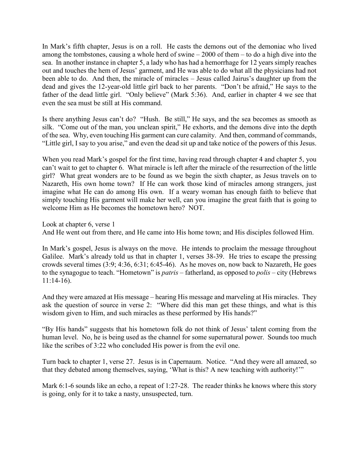In Mark's fifth chapter, Jesus is on a roll. He casts the demons out of the demoniac who lived among the tombstones, causing a whole herd of swine  $-2000$  of them  $-$  to do a high dive into the sea. In another instance in chapter 5, a lady who has had a hemorrhage for 12 years simply reaches out and touches the hem of Jesus' garment, and He was able to do what all the physicians had not been able to do. And then, the miracle of miracles – Jesus called Jairus's daughter up from the dead and gives the 12-year-old little girl back to her parents. "Don't be afraid," He says to the father of the dead little girl. "Only believe" (Mark 5:36). And, earlier in chapter 4 we see that even the sea must be still at His command.

Is there anything Jesus can't do? "Hush. Be still," He says, and the sea becomes as smooth as silk. "Come out of the man, you unclean spirit," He exhorts, and the demons dive into the depth of the sea. Why, even touching His garment can cure calamity. And then, command of commands, "Little girl, I say to you arise," and even the dead sit up and take notice of the powers of this Jesus.

When you read Mark's gospel for the first time, having read through chapter 4 and chapter 5, you can't wait to get to chapter 6. What miracle is left after the miracle of the resurrection of the little girl? What great wonders are to be found as we begin the sixth chapter, as Jesus travels on to Nazareth, His own home town? If He can work those kind of miracles among strangers, just imagine what He can do among His own. If a weary woman has enough faith to believe that simply touching His garment will make her well, can you imagine the great faith that is going to welcome Him as He becomes the hometown hero? NOT.

Look at chapter 6, verse 1

And He went out from there, and He came into His home town; and His disciples followed Him.

In Mark's gospel, Jesus is always on the move. He intends to proclaim the message throughout Galilee. Mark's already told us that in chapter 1, verses 38-39. He tries to escape the pressing crowds several times (3:9; 4:36, 6:31; 6:45-46). As he moves on, now back to Nazareth, He goes to the synagogue to teach. "Hometown" is *patris* – fatherland, as opposed to *polis* – city (Hebrews 11:14-16).

And they were amazed at His message – hearing His message and marveling at His miracles. They ask the question of source in verse 2: "Where did this man get these things, and what is this wisdom given to Him, and such miracles as these performed by His hands?"

"By His hands" suggests that his hometown folk do not think of Jesus' talent coming from the human level. No, he is being used as the channel for some supernatural power. Sounds too much like the scribes of 3:22 who concluded His power is from the evil one.

Turn back to chapter 1, verse 27. Jesus is in Capernaum. Notice. "And they were all amazed, so that they debated among themselves, saying, 'What is this? A new teaching with authority!'"

Mark 6:1-6 sounds like an echo, a repeat of 1:27-28. The reader thinks he knows where this story is going, only for it to take a nasty, unsuspected, turn.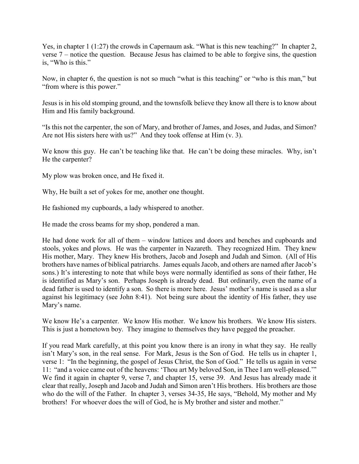Yes, in chapter 1 (1:27) the crowds in Capernaum ask. "What is this new teaching?" In chapter 2, verse 7 – notice the question. Because Jesus has claimed to be able to forgive sins, the question is, "Who is this."

Now, in chapter 6, the question is not so much "what is this teaching" or "who is this man," but "from where is this power."

Jesus is in his old stomping ground, and the townsfolk believe they know all there is to know about Him and His family background.

"Is this not the carpenter, the son of Mary, and brother of James, and Joses, and Judas, and Simon? Are not His sisters here with us?" And they took offense at Him (v. 3).

We know this guy. He can't be teaching like that. He can't be doing these miracles. Why, isn't He the carpenter?

My plow was broken once, and He fixed it.

Why, He built a set of yokes for me, another one thought.

He fashioned my cupboards, a lady whispered to another.

He made the cross beams for my shop, pondered a man.

He had done work for all of them – window lattices and doors and benches and cupboards and stools, yokes and plows. He was the carpenter in Nazareth. They recognized Him. They knew His mother, Mary. They knew His brothers, Jacob and Joseph and Judah and Simon. (All of His brothers have names of biblical patriarchs. James equals Jacob, and others are named after Jacob's sons.) It's interesting to note that while boys were normally identified as sons of their father, He is identified as Mary's son. Perhaps Joseph is already dead. But ordinarily, even the name of a dead father is used to identify a son. So there is more here. Jesus' mother's name is used as a slur against his legitimacy (see John 8:41). Not being sure about the identity of His father, they use Mary's name.

We know He's a carpenter. We know His mother. We know his brothers. We know His sisters. This is just a hometown boy. They imagine to themselves they have pegged the preacher.

If you read Mark carefully, at this point you know there is an irony in what they say. He really isn't Mary's son, in the real sense. For Mark, Jesus is the Son of God. He tells us in chapter 1, verse 1: "In the beginning, the gospel of Jesus Christ, the Son of God." He tells us again in verse 11: "and a voice came out of the heavens: 'Thou art My beloved Son, in Thee I am well-pleased.'" We find it again in chapter 9, verse 7, and chapter 15, verse 39. And Jesus has already made it clear that really, Joseph and Jacob and Judah and Simon aren't His brothers. His brothers are those who do the will of the Father. In chapter 3, verses 34-35, He says, "Behold, My mother and My brothers! For whoever does the will of God, he is My brother and sister and mother."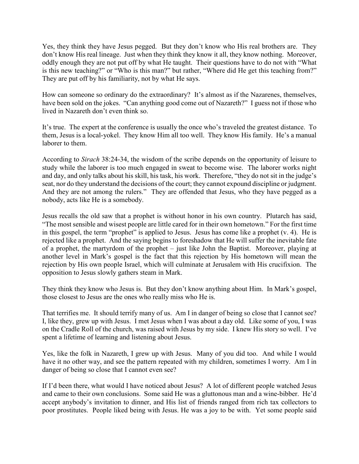Yes, they think they have Jesus pegged. But they don't know who His real brothers are. They don't know His real lineage. Just when they think they know it all, they know nothing. Moreover, oddly enough they are not put off by what He taught. Their questions have to do not with "What is this new teaching?" or "Who is this man?" but rather, "Where did He get this teaching from?" They are put off by his familiarity, not by what He says.

How can someone so ordinary do the extraordinary? It's almost as if the Nazarenes, themselves, have been sold on the jokes. "Can anything good come out of Nazareth?" I guess not if those who lived in Nazareth don't even think so.

It's true. The expert at the conference is usually the once who's traveled the greatest distance. To them, Jesus is a local-yokel. They know Him all too well. They know His family. He's a manual laborer to them.

According to *Sirach* 38:24-34, the wisdom of the scribe depends on the opportunity of leisure to study while the laborer is too much engaged in sweat to become wise. The laborer works night and day, and only talks about his skill, his task, his work. Therefore, "they do not sit in the judge's seat, nor do they understand the decisions of the court; they cannot expound discipline or judgment. And they are not among the rulers." They are offended that Jesus, who they have pegged as a nobody, acts like He is a somebody.

Jesus recalls the old saw that a prophet is without honor in his own country. Plutarch has said, "The most sensible and wisest people are little cared for in their own hometown." For the first time in this gospel, the term "prophet" is applied to Jesus. Jesus has come like a prophet (v. 4). He is rejected like a prophet. And the saying begins to foreshadow that He will suffer the inevitable fate of a prophet, the martyrdom of the prophet – just like John the Baptist. Moreover, playing at another level in Mark's gospel is the fact that this rejection by His hometown will mean the rejection by His own people Israel, which will culminate at Jerusalem with His crucifixion. The opposition to Jesus slowly gathers steam in Mark.

They think they know who Jesus is. But they don't know anything about Him. In Mark's gospel, those closest to Jesus are the ones who really miss who He is.

That terrifies me. It should terrify many of us. Am I in danger of being so close that I cannot see? I, like they, grew up with Jesus. I met Jesus when I was about a day old. Like some of you, I was on the Cradle Roll of the church, was raised with Jesus by my side. I knew His story so well. I've spent a lifetime of learning and listening about Jesus.

Yes, like the folk in Nazareth, I grew up with Jesus. Many of you did too. And while I would have it no other way, and see the pattern repeated with my children, sometimes I worry. Am I in danger of being so close that I cannot even see?

If I'd been there, what would I have noticed about Jesus? A lot of different people watched Jesus and came to their own conclusions. Some said He was a gluttonous man and a wine-bibber. He'd accept anybody's invitation to dinner, and His list of friends ranged from rich tax collectors to poor prostitutes. People liked being with Jesus. He was a joy to be with. Yet some people said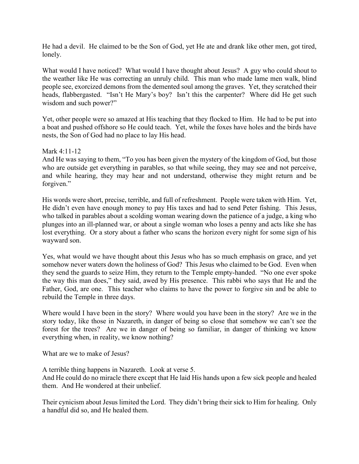He had a devil. He claimed to be the Son of God, yet He ate and drank like other men, got tired, lonely.

What would I have noticed? What would I have thought about Jesus? A guy who could shout to the weather like He was correcting an unruly child. This man who made lame men walk, blind people see, exorcized demons from the demented soul among the graves. Yet, they scratched their heads, flabbergasted. "Isn't He Mary's boy? Isn't this the carpenter? Where did He get such wisdom and such power?"

Yet, other people were so amazed at His teaching that they flocked to Him. He had to be put into a boat and pushed offshore so He could teach. Yet, while the foxes have holes and the birds have nests, the Son of God had no place to lay His head.

Mark 4:11-12

And He was saying to them, "To you has been given the mystery of the kingdom of God, but those who are outside get everything in parables, so that while seeing, they may see and not perceive, and while hearing, they may hear and not understand, otherwise they might return and be forgiven."

His words were short, precise, terrible, and full of refreshment. People were taken with Him. Yet, He didn't even have enough money to pay His taxes and had to send Peter fishing. This Jesus, who talked in parables about a scolding woman wearing down the patience of a judge, a king who plunges into an ill-planned war, or about a single woman who loses a penny and acts like she has lost everything. Or a story about a father who scans the horizon every night for some sign of his wayward son.

Yes, what would we have thought about this Jesus who has so much emphasis on grace, and yet somehow never waters down the holiness of God? This Jesus who claimed to be God. Even when they send the guards to seize Him, they return to the Temple empty-handed. "No one ever spoke the way this man does," they said, awed by His presence. This rabbi who says that He and the Father, God, are one. This teacher who claims to have the power to forgive sin and be able to rebuild the Temple in three days.

Where would I have been in the story? Where would you have been in the story? Are we in the story today, like those in Nazareth, in danger of being so close that somehow we can't see the forest for the trees? Are we in danger of being so familiar, in danger of thinking we know everything when, in reality, we know nothing?

What are we to make of Jesus?

A terrible thing happens in Nazareth. Look at verse 5.

And He could do no miracle there except that He laid His hands upon a few sick people and healed them. And He wondered at their unbelief.

Their cynicism about Jesus limited the Lord. They didn't bring their sick to Him for healing. Only a handful did so, and He healed them.